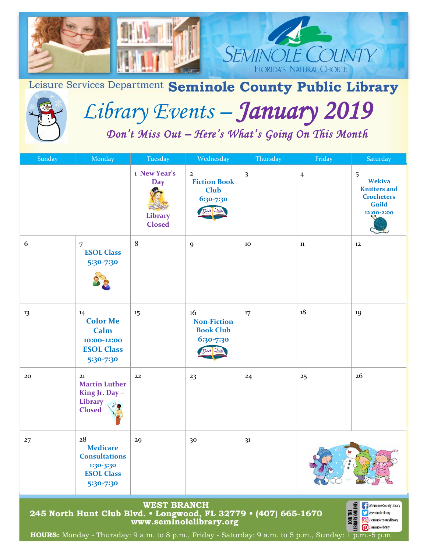

Leisure Services Department Seminole County Public Library



# *Library Events – January 2019*

 *Don't Miss Out – Here's What's Going On This Month* 

| Sunday                                                                                                                                                                                                                                                                                                                                                                                              | Monday                                                                                       | Tuesday                                         | Wednesday                                                       | Thursday                | Friday         | Saturday                                                                                     |
|-----------------------------------------------------------------------------------------------------------------------------------------------------------------------------------------------------------------------------------------------------------------------------------------------------------------------------------------------------------------------------------------------------|----------------------------------------------------------------------------------------------|-------------------------------------------------|-----------------------------------------------------------------|-------------------------|----------------|----------------------------------------------------------------------------------------------|
|                                                                                                                                                                                                                                                                                                                                                                                                     |                                                                                              | 1 New Year's<br>Day<br>Library<br><b>Closed</b> | $\mathbf{2}$<br><b>Fiction Book</b><br><b>Club</b><br>6:30-7:30 | $\overline{\mathbf{3}}$ | $\overline{4}$ | 5<br><b>Wekiva</b><br><b>Knitters</b> and<br><b>Crocheters</b><br><b>Guild</b><br>12:00-2:00 |
| 6                                                                                                                                                                                                                                                                                                                                                                                                   | $\overline{7}$<br><b>ESOL Class</b><br>5:30-7:30                                             | 8                                               | 9                                                               | 10                      | 11             | 12                                                                                           |
| 13                                                                                                                                                                                                                                                                                                                                                                                                  | 14<br><b>Color Me</b><br>Calm<br>10:00-12:00<br><b>ESOL Class</b><br>5:30-7:30               | 15                                              | 16<br><b>Non-Fiction</b><br><b>Book Club</b><br>6:30-7:30       | 17                      | 18             | 19                                                                                           |
| 20                                                                                                                                                                                                                                                                                                                                                                                                  | 21<br><b>Martin Luther</b><br>King Jr. Day -<br><b>Library</b><br><b>Closed</b>              | 22                                              | 23                                                              | 24                      | 25             | 26                                                                                           |
| 27                                                                                                                                                                                                                                                                                                                                                                                                  | 28<br><b>Medicare</b><br><b>Consultations</b><br>1:30-3:30<br><b>ESOL Class</b><br>5:30-7:30 | 29                                              | 30                                                              | 3 <sup>1</sup>          |                |                                                                                              |
| <b>WEST BRANCH</b><br>JOIN THE<br>LIBRARY ONLINE:<br><b>F</b> @SeminoleCountyLibrary<br>245 North Hunt Club Blvd. • Longwood, FL 32779 • (407) 665-1670<br><b>Sexeminolelibrary</b><br><b>6</b> /seminolecountylibrary<br>www.seminolelibrary.org<br>/seminolelibrary<br><b>HOURS:</b> Monday - Thursday: $9$ a.m. to $8$ p.m., Friday - Saturday: $9$ a.m. to $5$ p.m., Sunday: $1$ p.m. $-5$ p.m. |                                                                                              |                                                 |                                                                 |                         |                |                                                                                              |